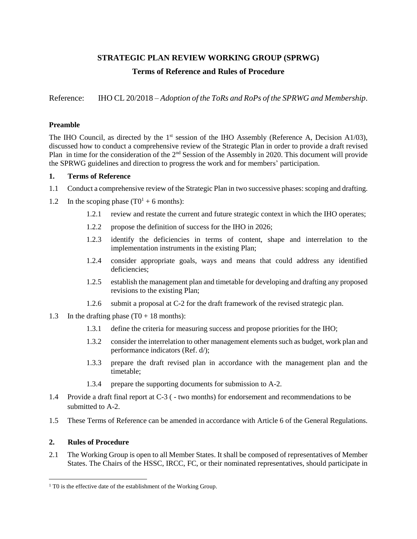## **STRATEGIC PLAN REVIEW WORKING GROUP (SPRWG) Terms of Reference and Rules of Procedure**

Reference: IHO CL 20/2018 – *Adoption of the ToRs and RoPs of the SPRWG and Membership*.

## **Preamble**

The IHO Council, as directed by the 1<sup>st</sup> session of the IHO Assembly (Reference A, Decision A1/03), discussed how to conduct a comprehensive review of the Strategic Plan in order to provide a draft revised Plan in time for the consideration of the 2<sup>nd</sup> Session of the Assembly in 2020. This document will provide the SPRWG guidelines and direction to progress the work and for members' participation.

## **1. Terms of Reference**

- 1.1 Conduct a comprehensive review of the Strategic Plan in two successive phases: scoping and drafting.
- 1.2 In the scoping phase  $(T0^1 + 6 \text{ months})$ :
	- 1.2.1 review and restate the current and future strategic context in which the IHO operates;
	- 1.2.2 propose the definition of success for the IHO in 2026;
	- 1.2.3 identify the deficiencies in terms of content, shape and interrelation to the implementation instruments in the existing Plan;
	- 1.2.4 consider appropriate goals, ways and means that could address any identified deficiencies;
	- 1.2.5 establish the management plan and timetable for developing and drafting any proposed revisions to the existing Plan;
	- 1.2.6 submit a proposal at C-2 for the draft framework of the revised strategic plan.
- 1.3 In the drafting phase  $(T0 + 18 \text{ months})$ :
	- 1.3.1 define the criteria for measuring success and propose priorities for the IHO;
	- 1.3.2 consider the interrelation to other management elements such as budget, work plan and performance indicators (Ref. d/);
	- 1.3.3 prepare the draft revised plan in accordance with the management plan and the timetable;
	- 1.3.4 prepare the supporting documents for submission to A-2.
- 1.4 Provide a draft final report at C-3 ( two months) for endorsement and recommendations to be submitted to A-2.
- 1.5 These Terms of Reference can be amended in accordance with Article 6 of the General Regulations.

## **2. Rules of Procedure**

 $\overline{a}$ 

2.1 The Working Group is open to all Member States. It shall be composed of representatives of Member States. The Chairs of the HSSC, IRCC, FC, or their nominated representatives, should participate in

<sup>&</sup>lt;sup>1</sup> T0 is the effective date of the establishment of the Working Group.